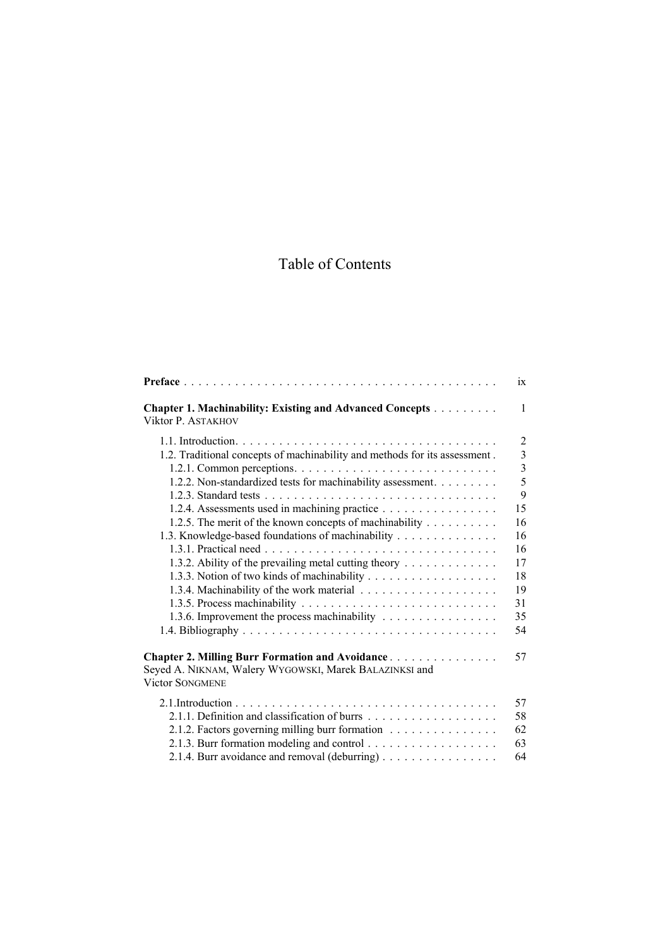## Table of Contents

|                                                                                       | 1X             |
|---------------------------------------------------------------------------------------|----------------|
| <b>Chapter 1. Machinability: Existing and Advanced Concepts</b><br>Viktor P. ASTAKHOV | $\mathbf{1}$   |
|                                                                                       | $\overline{2}$ |
| 1.2. Traditional concepts of machinability and methods for its assessment.            | 3              |
|                                                                                       | $\overline{3}$ |
| 1.2.2. Non-standardized tests for machinability assessment.                           | $\overline{5}$ |
|                                                                                       | 9              |
| 1.2.4. Assessments used in machining practice                                         | 15             |
| 1.2.5. The merit of the known concepts of machinability                               | 16             |
| 1.3. Knowledge-based foundations of machinability                                     | 16             |
|                                                                                       | 16             |
| 1.3.2. Ability of the prevailing metal cutting theory                                 | 17             |
|                                                                                       | 18             |
|                                                                                       | 19             |
|                                                                                       | 31             |
| 1.3.6. Improvement the process machinability                                          | 35             |
|                                                                                       | 54             |
| <b>Chapter 2. Milling Burr Formation and Avoidance </b>                               | 57             |
| Seyed A. NIKNAM, Walery WYGOWSKI, Marek BALAZINKSI and<br><b>Victor SONGMENE</b>      |                |
|                                                                                       |                |
|                                                                                       | 57             |
|                                                                                       | 58             |
| 2.1.2. Factors governing milling burr formation                                       | 62             |
|                                                                                       | 63             |
| 2.1.4. Burr avoidance and removal (deburring)                                         | 64             |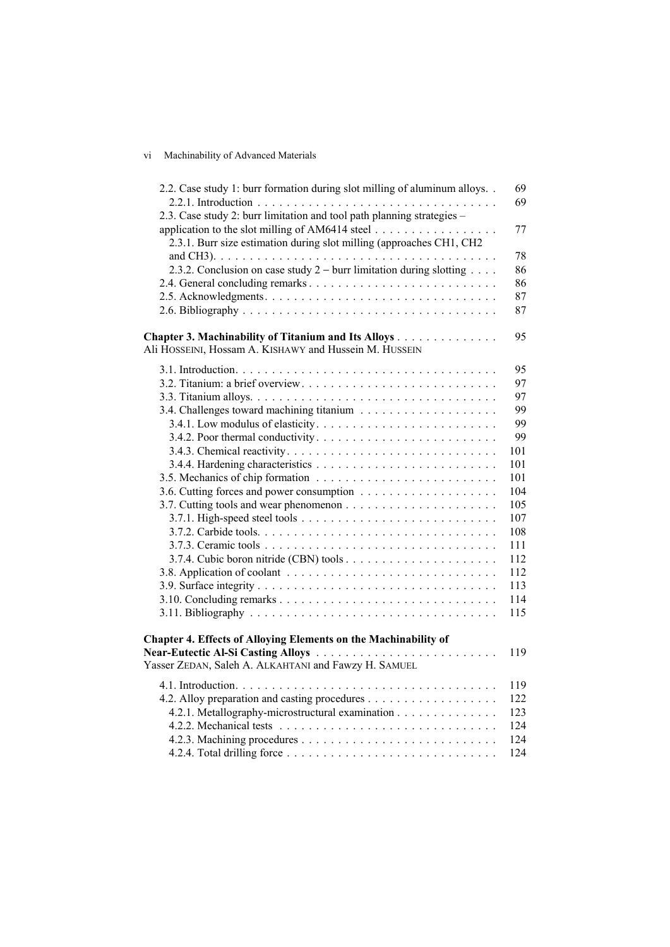## vi Machinability of Advanced Materials

| 2.2. Case study 1: burr formation during slot milling of aluminum alloys | 69<br>69 |
|--------------------------------------------------------------------------|----------|
| 2.3. Case study 2: burr limitation and tool path planning strategies -   |          |
| application to the slot milling of AM6414 steel                          | 77       |
| 2.3.1. Burr size estimation during slot milling (approaches CH1, CH2     |          |
|                                                                          | 78       |
| 2.3.2. Conclusion on case study $2$ – burr limitation during slotting    | 86       |
|                                                                          | 86       |
|                                                                          | 87       |
|                                                                          | 87       |
| Chapter 3. Machinability of Titanium and Its Alloys                      | 95       |
| Ali HOSSEINI, Hossam A. KISHAWY and Hussein M. HUSSEIN                   |          |
|                                                                          | 95       |
|                                                                          | 97       |
|                                                                          | 97       |
|                                                                          | 99       |
|                                                                          | 99       |
|                                                                          | 99       |
|                                                                          | 101      |
|                                                                          | 101      |
|                                                                          | 101      |
|                                                                          | 104      |
|                                                                          | 105      |
|                                                                          | 107      |
|                                                                          | 108      |
|                                                                          | 111      |
|                                                                          | 112      |
|                                                                          | 112      |
|                                                                          | 113      |
|                                                                          | 114      |
|                                                                          | 115      |
|                                                                          |          |
| <b>Chapter 4. Effects of Alloying Elements on the Machinability of</b>   |          |
| <b>Near-Eutectic Al-Si Casting Alloys</b>                                | 119      |
| Yasser ZEDAN, Saleh A. ALKAHTANI and Fawzy H. SAMUEL                     |          |
|                                                                          | 119      |
|                                                                          | 122      |
| 4.2.1. Metallography-microstructural examination                         | 123      |
|                                                                          | 124      |
|                                                                          | 124      |
|                                                                          | 124      |
|                                                                          |          |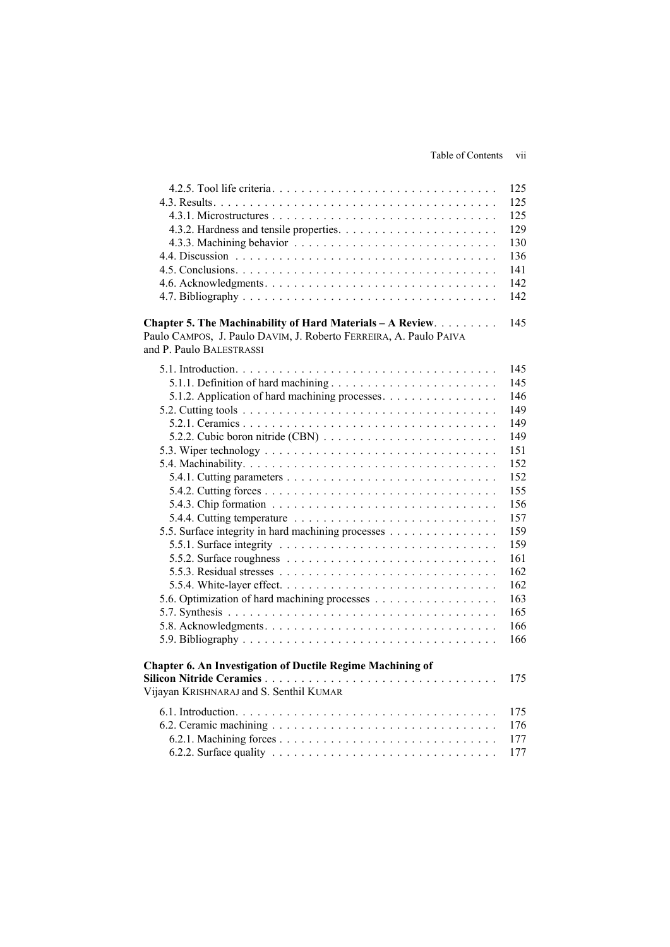## Table of Contents vii

|                                                                                                  | 125 |
|--------------------------------------------------------------------------------------------------|-----|
|                                                                                                  | 125 |
|                                                                                                  | 125 |
|                                                                                                  | 129 |
|                                                                                                  | 130 |
|                                                                                                  | 136 |
|                                                                                                  | 141 |
|                                                                                                  | 142 |
|                                                                                                  | 142 |
| Chapter 5. The Machinability of Hard Materials - A Review.                                       | 145 |
| Paulo CAMPOS, J. Paulo DAVIM, J. Roberto FERREIRA, A. Paulo PAIVA                                |     |
| and P. Paulo BALESTRASSI                                                                         |     |
|                                                                                                  | 145 |
| 5.1.1. Definition of hard machining                                                              | 145 |
| 5.1.2. Application of hard machining processes.                                                  | 146 |
|                                                                                                  | 149 |
|                                                                                                  | 149 |
|                                                                                                  | 149 |
|                                                                                                  | 151 |
|                                                                                                  |     |
|                                                                                                  | 152 |
|                                                                                                  | 152 |
|                                                                                                  | 155 |
|                                                                                                  | 156 |
|                                                                                                  | 157 |
| 5.5. Surface integrity in hard machining processes                                               | 159 |
|                                                                                                  | 159 |
| 5.5.2. Surface roughness $\ldots \ldots \ldots \ldots \ldots \ldots \ldots \ldots \ldots \ldots$ | 161 |
|                                                                                                  | 162 |
|                                                                                                  | 162 |
|                                                                                                  | 163 |
|                                                                                                  | 165 |
|                                                                                                  | 166 |
|                                                                                                  | 166 |
| <b>Chapter 6. An Investigation of Ductile Regime Machining of</b>                                |     |
|                                                                                                  | 175 |
| Vijayan KRISHNARAJ and S. Senthil KUMAR                                                          |     |
|                                                                                                  | 175 |
|                                                                                                  | 176 |
|                                                                                                  | 177 |
|                                                                                                  | 177 |
|                                                                                                  |     |